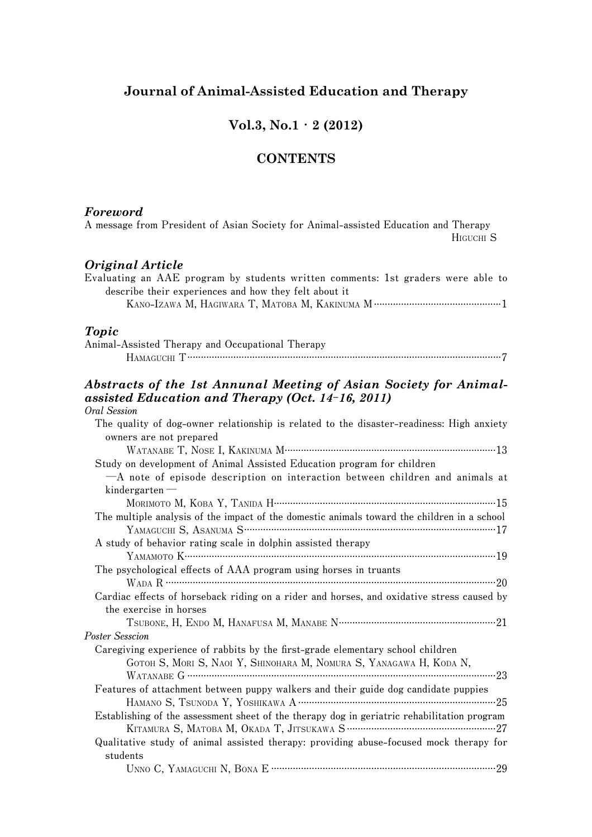### **Journal of Animal-Assisted Education and Therapy**

### **Vol.3, No.1・2 (2012)**

### **CONTENTS**

#### *Foreword*

**A message from President of Asian Society for Animal-assisted Education and Therapy HIGUCHI S** *Original Article* **Evaluating an AAE program by students written comments: 1st graders were able to describe their experiences and how they felt about it KANO-IZAWA M, HAGIWARA T, MATOBA M, KAKINUMA M ...............................................1** *Topic* **Animal-Assisted Therapy and Occupational Therapy HAMAGUCHI T ....................................................................................................................7** *Abstracts of the 1st Annunal Meeting of Asian Society for Animalassisted Education and Therapy (Oct. 14***-***16, 2011)* **Oral Session The quality of dog-owner relationship is related to the disaster-readiness: High anxiety owners are not prepared WATANABE T, NOSE I, KAKINUMA M..............................................................................13 Study on development of Animal Assisted Education program for children ─A note of episode description on interaction between children and animals at kindergarten ─ MORIMOTO M, KOBA Y, TANIDA H..................................................................................15 The multiple analysis of the impact of the domestic animals toward the children in a school**

| $-A$ note of episode description on interaction between children and animals at             |
|---------------------------------------------------------------------------------------------|
| kindergarten                                                                                |
| Мокімото М, Кова Ү, Таніра Н………………………………………………………………………15                                   |
| The multiple analysis of the impact of the domestic animals toward the children in a school |
|                                                                                             |
| A study of behavior rating scale in dolphin assisted therapy                                |
|                                                                                             |
| The psychological effects of AAA program using horses in truants                            |
|                                                                                             |
| Cardiac effects of horseback riding on a rider and horses, and oxidative stress caused by   |
| the exercise in horses                                                                      |
| TSUBONE, H, ENDO M, HANAFUSA M, MANABE N………………………………………………………21                             |
| Poster Sesscion                                                                             |
| Caregiving experience of rabbits by the first-grade elementary school children              |
| GOTOH S, MORI S, NAOI Y, SHINOHARA M, NOMURA S, YANAGAWA H, KODA N,                         |
|                                                                                             |
| Features of attachment between puppy walkers and their guide dog candidate puppies          |
|                                                                                             |
| Establishing of the assessment sheet of the therapy dog in geriatric rehabilitation program |
|                                                                                             |
| Qualitative study of animal assisted therapy: providing abuse-focused mock therapy for      |
| students                                                                                    |

|  | UNNO C, YAMAGUCHI N, BONA E |  |  |
|--|-----------------------------|--|--|
|--|-----------------------------|--|--|